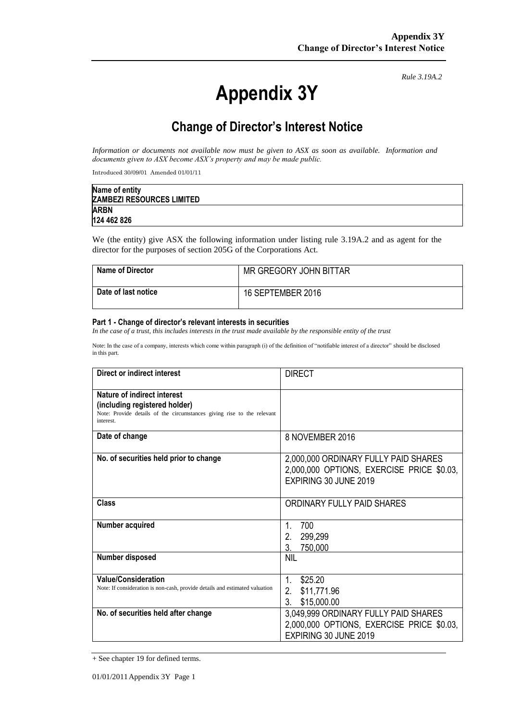# **Appendix 3Y**

*Rule 3.19A.2*

# **Change of Director's Interest Notice**

*Information or documents not available now must be given to ASX as soon as available. Information and documents given to ASX become ASX's property and may be made public.*

Introduced 30/09/01 Amended 01/01/11

| Name of entity                   |  |
|----------------------------------|--|
| <b>ZAMBEZI RESOURCES LIMITED</b> |  |
| <b>ARBN</b>                      |  |
| 124 462 826                      |  |

We (the entity) give ASX the following information under listing rule 3.19A.2 and as agent for the director for the purposes of section 205G of the Corporations Act.

| <b>Name of Director</b> | MR GREGORY JOHN BITTAR |
|-------------------------|------------------------|
| Date of last notice     | 16 SEPTEMBER 2016      |

#### **Part 1 - Change of director's relevant interests in securities**

*In the case of a trust, this includes interests in the trust made available by the responsible entity of the trust*

Note: In the case of a company, interests which come within paragraph (i) of the definition of "notifiable interest of a director" should be disclosed in this part.

| Direct or indirect interest                                                                                                                         | <b>DIRECT</b>                                                                                              |
|-----------------------------------------------------------------------------------------------------------------------------------------------------|------------------------------------------------------------------------------------------------------------|
| Nature of indirect interest<br>(including registered holder)<br>Note: Provide details of the circumstances giving rise to the relevant<br>interest. |                                                                                                            |
| Date of change                                                                                                                                      | 8 NOVEMBER 2016                                                                                            |
| No. of securities held prior to change                                                                                                              | 2,000,000 ORDINARY FULLY PAID SHARES<br>2,000,000 OPTIONS, EXERCISE PRICE \$0.03,<br>EXPIRING 30 JUNE 2019 |
| Class                                                                                                                                               | ORDINARY FULLY PAID SHARES                                                                                 |
| Number acquired                                                                                                                                     | 700<br>1.<br>2.<br>299,299<br>3.<br>750,000                                                                |
| Number disposed                                                                                                                                     | nil                                                                                                        |
| <b>Value/Consideration</b><br>Note: If consideration is non-cash, provide details and estimated valuation                                           | 1<br>\$25.20<br>2.<br>\$11,771.96<br>3.<br>\$15,000.00                                                     |
| No. of securities held after change                                                                                                                 | 3,049,999 ORDINARY FULLY PAID SHARES<br>2.000.000 OPTIONS, EXERCISE PRICE \$0.03,<br>EXPIRING 30 JUNE 2019 |

<sup>+</sup> See chapter 19 for defined terms.